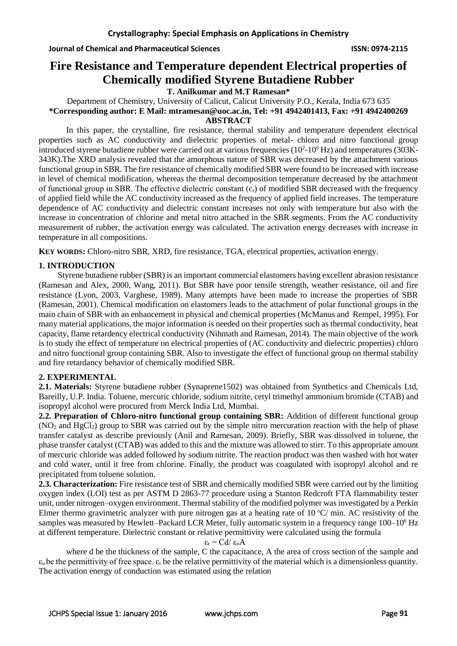**Journal of Chemical and Pharmaceutical Sciences ISSN: 0974-2115**

# **Fire Resistance and Temperature dependent Electrical properties of Chemically modified Styrene Butadiene Rubber**

**T. Anilkumar and M.T Ramesan\***

Department of Chemistry, University of Calicut, Calicut University P.O., Kerala, India 673 635 **\*Corresponding author: E Mail: [mtramesan@uoc.ac.in,](mailto:mtramesan@uoc.ac.in) Tel: +91 4942401413, Fax: +91 4942400269**

**ABSTRACT**

In this paper, the crystalline, fire resistance, thermal stability and temperature dependent electrical properties such as AC conductivity and dielectric properties of metal- chloro and nitro functional group introduced styrene butadiene rubber were carried out at various frequencies  $(10^2 \text{-} 10^6 \text{ Hz})$  and temperatures  $(303 \text{K}$ 343K).The XRD analysis revealed that the amorphous nature of SBR was decreased by the attachment various functional group in SBR. The fire resistance of chemically modified SBR were found to be increased with increase in level of chemical modification, whereas the thermal decomposition temperature decreased by the attachment of functional group in SBR. The effective dielectric constant  $(\epsilon_r)$  of modified SBR decreased with the frequency of applied field while the AC conductivity increased as the frequency of applied field increases. The temperature dependence of AC conductivity and dielectric constant increases not only with temperature but also with the increase in concentration of chlorine and metal nitro attached in the SBR segments. From the AC conductivity measurement of rubber, the activation energy was calculated. The activation energy decreases with increase in temperature in all compositions.

**KEY WORDS:** Chloro-nitro SBR, XRD, fire resistance, TGA, electrical properties, activation energy.

# **1. INTRODUCTION**

 Styrene butadiene rubber (SBR) is an important commercial elastomers having excellent abrasion resistance (Ramesan and Alex, 2000, Wang, 2011). But SBR have poor tensile strength, weather resistance, oil and fire resistance (Lyon, 2003, Varghese, 1989). Many attempts have been made to increase the properties of SBR (Ramesan, 2001). Chemical modification on elastomers leads to the attachment of polar functional groups in the main chain of SBR with an enhancement in physical and chemical properties [\(McManus](http://www.tandfonline.com/author/McManus%2C+N+T) and [Rempel,](http://www.tandfonline.com/author/Rempel%2C+G+L) 1995). For many material applications, the major information is needed on their properties such as thermal conductivity, heat capacity, flame retardency electrical conductivity (Nihmath and Ramesan, 2014). The main objective of the work is to study the effect of temperature on electrical properties of (AC conductivity and dielectric properties) chloro and nitro functional group containing SBR. Also to investigate the effect of functional group on thermal stability and fire retardancy behavior of chemically modified SBR.

# **2. EXPERIMENTAL**

**2.1. Materials:** Styrene butadiene rubber (Synaprene1502) was obtained from Synthetics and Chemicals Ltd, Bareilly, U.P. India. Toluene, mercuric chloride, sodium nitrite, cetyl trimethyl ammonium bromide (CTAB) and isopropyl alcohol were procured from Merck India Ltd, Mumbai.

**2.2. Preparation of Chloro-nitro functional group containing SBR:** Addition of different functional group  $(NO<sub>2</sub>$  and HgCl<sub>2</sub>) group to SBR was carried out by the simple nitro mercuration reaction with the help of phase transfer catalyst as describe previously (Anil and Ramesan, 2009). Briefly, SBR was dissolved in toluene, the phase transfer catalyst (CTAB) was added to this and the mixture was allowed to stirr. To this appropriate amount of mercuric chloride was added followed by sodium nitrite. The reaction product was then washed with hot water and cold water, until it free from chlorine. Finally, the product was coagulated with isopropyl alcohol and re precipitated from toluene solution.

2.3. Characterization: Fire resistance test of SBR and chemically modified SBR were carried out by the limiting oxygen index (LOI) test as per ASTM D 2863-77 procedure using a Stanton Redcroft FTA flammability tester unit, under nitrogen–oxygen environment. Thermal stability of the modified polymer was investigated by a Perkin Elmer thermo gravimetric analyzer with pure nitrogen gas at a heating rate of  $10 \degree C$  min. AC resistivity of the samples was measured by Hewlett–Packard LCR Meter, fully automatic system in a frequency range 100–10<sup>6</sup> Hz at different temperature. Dielectric constant or relative permittivity were calculated using the formula

# $\varepsilon_r = C d / \varepsilon_o A$

where d be the thickness of the sample, C the capacitance, A the area of cross section of the sample and  $\varepsilon_0$  be the permittivity of free space.  $\varepsilon_r$  be the relative permittivity of the material which is a dimensionless quantity. The activation energy of conduction was estimated using the relation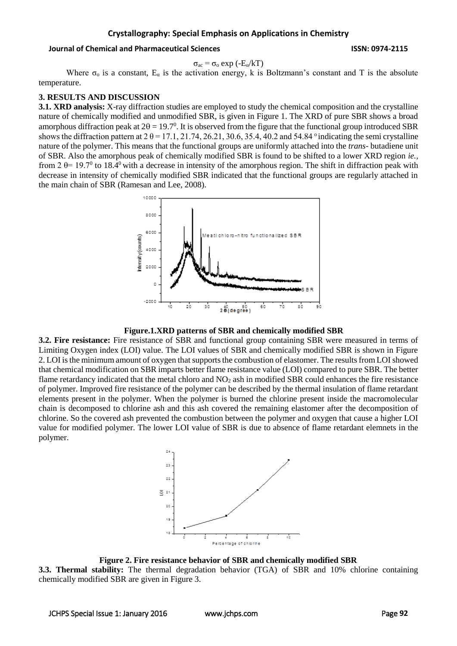#### **Crystallography: Special Emphasis on Applications in Chemistry**

#### **Journal of Chemical and Pharmaceutical Sciences ISSN: 0974-2115**

$$
\sigma_{ac} = \sigma_o \exp(-E_{\alpha}/kT)
$$

Where  $\sigma_0$  is a constant,  $E_a$  is the activation energy, k is Boltzmann's constant and T is the absolute temperature.

#### **3. RESULTS AND DISCUSSION**

**3.1. XRD analysis:** X-ray diffraction studies are employed to study the chemical composition and the crystalline nature of chemically modified and unmodified SBR, is given in Figure 1. The XRD of pure SBR shows a broad amorphous diffraction peak at  $2\theta = 19.7^\circ$ . It is observed from the figure that the functional group introduced SBR shows the diffraction pattern at  $2 \theta = 17.1$ ,  $21.74$ ,  $26.21$ ,  $30.6$ ,  $35.4$ ,  $40.2$  and  $54.84$  ° indicating the semi crystalline nature of the polymer. This means that the functional groups are uniformly attached into the *trans-* butadiene unit of SBR. Also the amorphous peak of chemically modified SBR is found to be shifted to a lower XRD region *ie.,* from  $2 \theta = 19.7^{\circ}$  to 18.4<sup>0</sup> with a decrease in intensity of the amorphous region. The shift in diffraction peak with decrease in intensity of chemically modified SBR indicated that the functional groups are regularly attached in the main chain of SBR (Ramesan and Lee, 2008).



**Figure.1.XRD patterns of SBR and chemically modified SBR**

**3.2. Fire resistance:** Fire resistance of SBR and functional group containing SBR were measured in terms of Limiting Oxygen index (LOI) value. The LOI values of SBR and chemically modified SBR is shown in Figure 2. LOI is the minimum amount of oxygen that supports the combustion of elastomer. The results from LOI showed that chemical modification on SBR imparts better flame resistance value (LOI) compared to pure SBR. The better flame retardancy indicated that the metal chloro and  $NO<sub>2</sub>$  ash in modified SBR could enhances the fire resistance of polymer. Improved fire resistance of the polymer can be described by the thermal insulation of flame retardant elements present in the polymer. When the polymer is burned the chlorine present inside the macromolecular chain is decomposed to chlorine ash and this ash covered the remaining elastomer after the decomposition of chlorine. So the covered ash prevented the combustion between the polymer and oxygen that cause a higher LOI value for modified polymer. The lower LOI value of SBR is due to absence of flame retardant elemnets in the polymer.



**Figure 2. Fire resistance behavior of SBR and chemically modified SBR**

**3.3. Thermal stability:** The thermal degradation behavior (TGA) of SBR and 10% chlorine containing chemically modified SBR are given in Figure 3.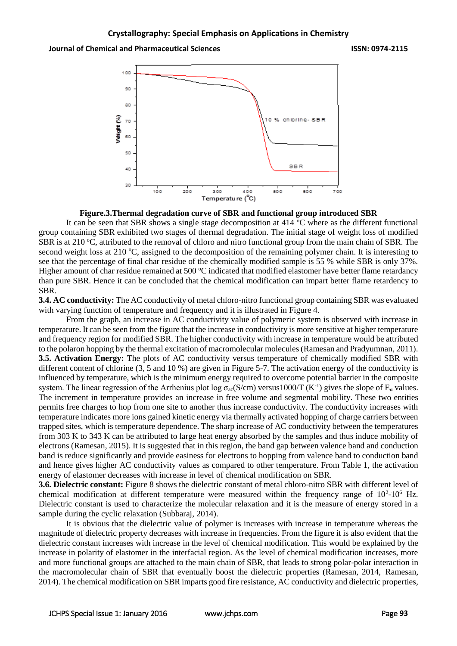

#### **Figure.3.Thermal degradation curve of SBR and functional group introduced SBR**

It can be seen that SBR shows a single stage decomposition at  $414 \text{ °C}$  where as the different functional group containing SBR exhibited two stages of thermal degradation. The initial stage of weight loss of modified SBR is at 210  $^{\circ}$ C, attributed to the removal of chloro and nitro functional group from the main chain of SBR. The second weight loss at 210  $\degree$ C, assigned to the decomposition of the remaining polymer chain. It is interesting to see that the percentage of final char residue of the chemically modified sample is 55 % while SBR is only 37%. Higher amount of char residue remained at 500  $\degree$ C indicated that modified elastomer have better flame retardancy than pure SBR. Hence it can be concluded that the chemical modification can impart better flame retardency to SBR.

**3.4. AC conductivity:** The AC conductivity of metal chloro-nitro functional group containing SBR was evaluated with varying function of temperature and frequency and it is illustrated in Figure 4.

From the graph, an increase in AC conductivity value of polymeric system is observed with increase in temperature. It can be seen from the figure that the increase in conductivity is more sensitive at higher temperature and frequency region for modified SBR. The higher conductivity with increase in temperature would be attributed to the polaron hopping by the thermal excitation of macromolecular molecules (Ramesan and Pradyumnan, 2011). **3.5. Activation Energy:** The plots of AC conductivity versus temperature of chemically modified SBR with different content of chlorine (3, 5 and 10 %) are given in Figure 5-7. The activation energy of the conductivity is influenced by temperature, which is the minimum energy required to overcome potential barrier in the composite system. The linear regression of the Arrhenius plot log  $\sigma_{ac}(S/cm)$  versus1000/T (K<sup>-1</sup>) gives the slope of  $E_{\alpha}$  values. The increment in temperature provides an increase in free volume and segmental mobility. These two entities permits free charges to hop from one site to another thus increase conductivity. The conductivity increases with temperature indicates more ions gained kinetic energy via thermally activated hopping of charge carriers between trapped sites, which is temperature dependence. The sharp increase of AC conductivity between the temperatures from 303 K to 343 K can be attributed to large heat energy absorbed by the samples and thus induce mobility of electrons (Ramesan, 2015). It is suggested that in this region, the band gap between valence band and conduction band is reduce significantly and provide easiness for electrons to hopping from valence band to conduction band and hence gives higher AC conductivity values as compared to other temperature. From Table 1, the activation energy of elastomer decreases with increase in level of chemical modification on SBR.

**3.6. Dielectric constant:** Figure 8 shows the dielectric constant of metal chloro-nitro SBR with different level of chemical modification at different temperature were measured within the frequency range of  $10^2$ - $10^6$  Hz. Dielectric constant is used to characterize the molecular relaxation and it is the measure of energy stored in a sample during the cyclic relaxation (Subbaraj, 2014).

It is obvious that the dielectric value of polymer is increases with increase in temperature whereas the magnitude of dielectric property decreases with increase in frequencies. From the figure it is also evident that the dielectric constant increases with increase in the level of chemical modification. This would be explained by the increase in polarity of elastomer in the interfacial region. As the level of chemical modification increases, more and more functional groups are attached to the main chain of SBR, that leads to strong polar-polar interaction in the macromolecular chain of SBR that eventually boost the dielectric properties (Ramesan, 2014, Ramesan, 2014). The chemical modification on SBR imparts good fire resistance, AC conductivity and dielectric properties,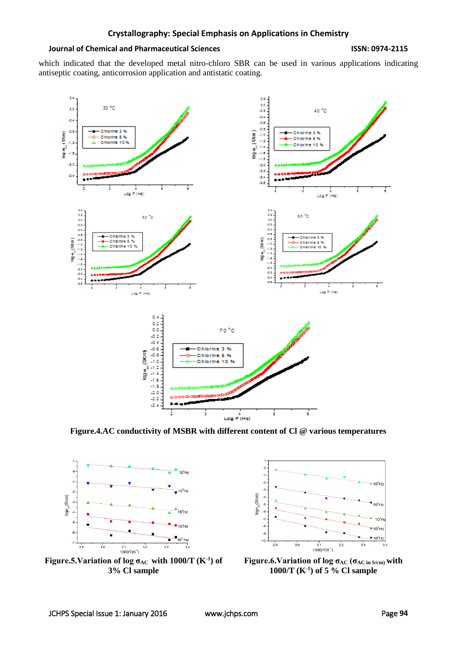#### **Journal of Chemical and Pharmaceutical Sciences ISSN: 0974-2115**

which indicated that the developed metal nitro-chloro SBR can be used in various applications indicating antiseptic coating, anticorrosion application and antistatic coating.



**Figure.4.AC conductivity of MSBR with different content of Cl @ various temperatures**



**Figure.5. Variation of log**  $\sigma_{AC}$  **with 1000/T (K<sup>-1</sup>) of 3% Cl sample**



**Figure.6.Variation of log σAC (σAC in S/cm) with 1000/T (K-1 ) of 5 % Cl sample**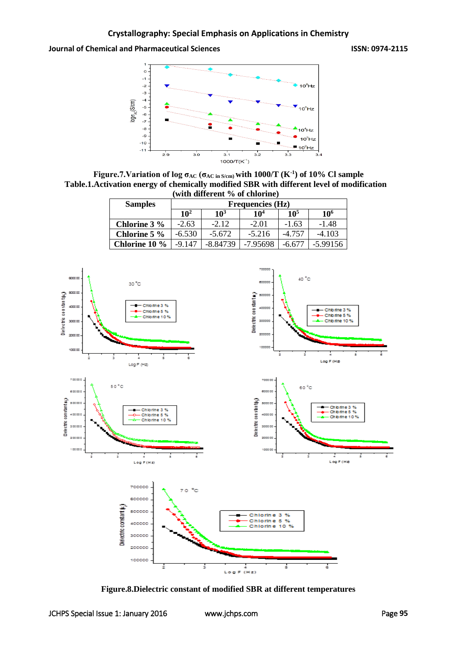

**Figure.7.Variation of log σAC (σAC in S/cm) with 1000/T (K-1 ) of 10% Cl sample Table.1.Activation energy of chemically modified SBR with different level of modification (with different % of chlorine)**

| <b>Samples</b> | <b>Frequencies (Hz)</b> |                 |                 |                 |                 |
|----------------|-------------------------|-----------------|-----------------|-----------------|-----------------|
|                | 10 <sup>2</sup>         | 10 <sup>3</sup> | 10 <sup>4</sup> | 10 <sup>5</sup> | 10 <sup>6</sup> |
| Chlorine 3 %   | $-2.63$                 | $-2.12$         | $-2.01$         | $-1.63$         | $-1.48$         |
| Chlorine 5 %   | $-6.530$                | $-5.672$        | $-5.216$        | $-4.757$        | $-4.103$        |
| Chlorine 10 %  | $-9.147$                | $-8.84739$      | $-7.95698$      | $-6.677$        | $-5.99156$      |



**Figure.8.Dielectric constant of modified SBR at different temperatures**